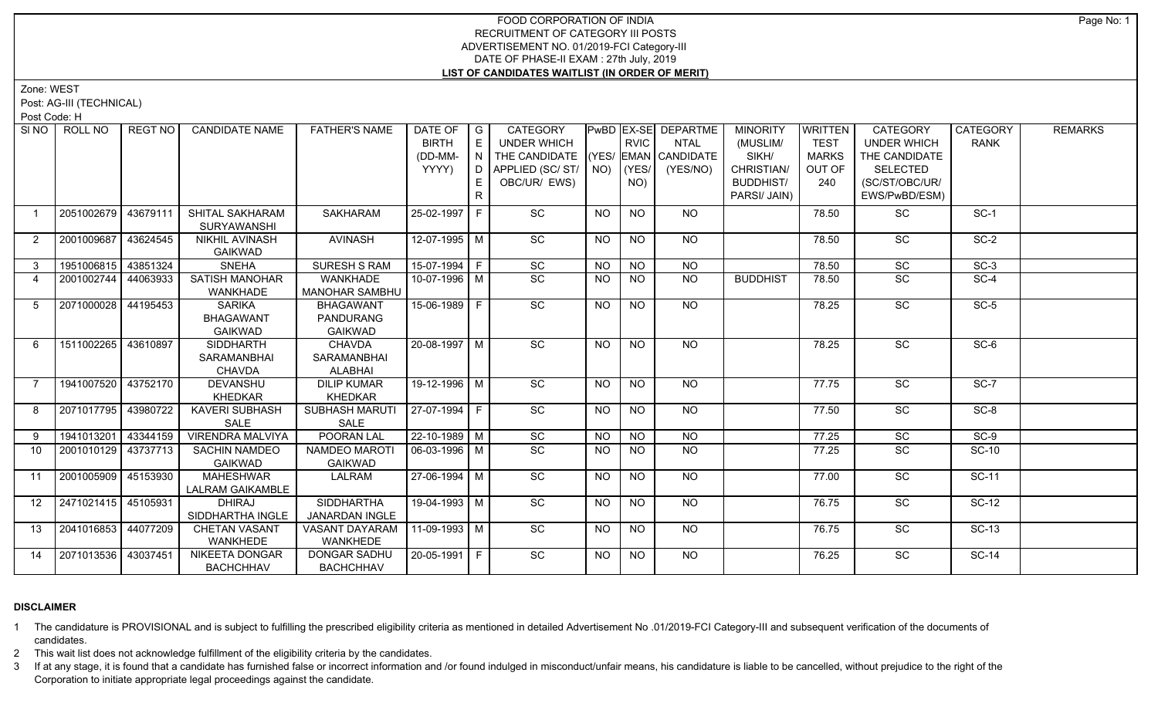Zone: WEST

Post: AG-III (TECHNICAL)

Post Code: H

| SI NO I        | ROLL NO             | REGT NO  | <b>CANDIDATE NAME</b>                               | <b>FATHER'S NAME</b>                                   | DATE OF G<br><b>BIRTH</b><br>(DD-MM-<br>YYYY) | E<br>I D I<br>E | <b>CATEGORY</b><br><b>UNDER WHICH</b><br>THE CANDIDATE (YES/ EMAN CANDIDATE<br>APPLIED (SC/ ST/   NO)   (YES/  <br>OBC/UR/ EWS) |           | <b>RVIC</b><br>NO) | PwBD EX-SE DEPARTME<br><b>NTAL</b><br>(YES/NO) | <b>MINORITY</b><br>(MUSLIM/<br>SIKH/<br>CHRISTIAN/<br><b>BUDDHIST/</b><br>PARSI/ JAIN) | WRITTEN<br><b>TEST</b><br><b>MARKS</b><br>OUT OF<br>240 | CATEGORY<br><b>UNDER WHICH</b><br>THE CANDIDATE<br><b>SELECTED</b><br>(SC/ST/OBC/UR/<br>EWS/PwBD/ESM) | <b>CATEGORY</b><br><b>RANK</b> | <b>REMARKS</b> |
|----------------|---------------------|----------|-----------------------------------------------------|--------------------------------------------------------|-----------------------------------------------|-----------------|---------------------------------------------------------------------------------------------------------------------------------|-----------|--------------------|------------------------------------------------|----------------------------------------------------------------------------------------|---------------------------------------------------------|-------------------------------------------------------------------------------------------------------|--------------------------------|----------------|
|                | 2051002679          | 43679111 | SHITAL SAKHARAM<br><b>SURYAWANSHI</b>               | <b>SAKHARAM</b>                                        | 25-02-1997 F                                  |                 | SC                                                                                                                              | <b>NO</b> | <b>NO</b>          | NO                                             |                                                                                        | 78.50                                                   | SC                                                                                                    | $SC-1$                         |                |
| $\mathbf{2}$   | 2001009687          | 43624545 | NIKHIL AVINASH<br><b>GAIKWAD</b>                    | <b>AVINASH</b>                                         | 12-07-1995 M                                  |                 | SC                                                                                                                              | <b>NO</b> | <b>NO</b>          | <b>NO</b>                                      |                                                                                        | 78.50                                                   | SC                                                                                                    | $SC-2$                         |                |
| 3              | 1951006815          | 43851324 | <b>SNEHA</b>                                        | <b>SURESH S RAM</b>                                    | $15-07-1994$ F                                |                 | SC                                                                                                                              | <b>NO</b> | <b>NO</b>          | NO                                             |                                                                                        | 78.50                                                   | $\overline{SC}$                                                                                       | $SC-3$                         |                |
| $\overline{4}$ | 2001002744          | 44063933 | <b>SATISH MANOHAR</b><br>WANKHADE                   | <b>WANKHADE</b><br><b>MANOHAR SAMBHU</b>               | 10-07-1996 M                                  |                 | SC                                                                                                                              | <b>NO</b> | <b>NO</b>          | $\overline{NO}$                                | <b>BUDDHIST</b>                                                                        | 78.50                                                   | $\overline{SC}$                                                                                       | $SC-4$                         |                |
| 5              | 2071000028          | 44195453 | <b>SARIKA</b><br><b>BHAGAWANT</b><br><b>GAIKWAD</b> | <b>BHAGAWANT</b><br><b>PANDURANG</b><br><b>GAIKWAD</b> | $15-06-1989$ F                                |                 | $\overline{SC}$                                                                                                                 | NO.       | <b>NO</b>          | NO.                                            |                                                                                        | 78.25                                                   | $\overline{SC}$                                                                                       | $SC-5$                         |                |
| 6              | 1511002265          | 43610897 | <b>SIDDHARTH</b><br>SARAMANBHAI<br>CHAVDA           | CHAVDA<br>SARAMANBHAI<br>ALABHAI                       | 20-08-1997 M                                  |                 | $\overline{SC}$                                                                                                                 | <b>NO</b> | <b>NO</b>          | NO                                             |                                                                                        | 78.25                                                   | $\overline{SC}$                                                                                       | $SC-6$                         |                |
|                | 1941007520          | 43752170 | <b>DEVANSHU</b><br>KHEDKAR                          | <b>DILIP KUMAR</b><br><b>KHEDKAR</b>                   | 19-12-1996 M                                  |                 | SC                                                                                                                              | <b>NO</b> | <b>NO</b>          | NO                                             |                                                                                        | 77.75                                                   | SC                                                                                                    | $SC-7$                         |                |
| 8              | 2071017795 43980722 |          | <b>KAVERI SUBHASH</b><br>SALE                       | <b>SUBHASH MARUTI</b><br>SALE                          | $ 27-07-1994 F$                               |                 | $\overline{SC}$                                                                                                                 | NO.       | <b>NO</b>          | NO                                             |                                                                                        | 77.50                                                   | $\overline{SC}$                                                                                       | $SC-8$                         |                |
| 9              | 1941013201 43344159 |          | <b>VIRENDRA MALVIYA</b>                             | <b>POORAN LAL</b>                                      | $22 - 10 - 1989$ M                            |                 | $\overline{SC}$                                                                                                                 | <b>NO</b> | <b>NO</b>          | N <sub>O</sub>                                 |                                                                                        | 77.25                                                   | $\overline{SC}$                                                                                       | $SC-9$                         |                |
| 10             | 2001010129          | 43737713 | <b>SACHIN NAMDEO</b><br>GAIKWAD                     | NAMDEO MAROT<br><b>GAIKWAD</b>                         | 06-03-1996 M                                  |                 | $\overline{SC}$                                                                                                                 | <b>NO</b> | <b>NO</b>          | NO                                             |                                                                                        | 77.25                                                   | SC                                                                                                    | <b>SC-10</b>                   |                |
| 11             | 2001005909 45153930 |          | <b>MAHESHWAR</b><br><b>LALRAM GAIKAMBLE</b>         | LALRAM                                                 | 27-06-1994 M                                  |                 | $\overline{SC}$                                                                                                                 | NO.       | <b>NO</b>          | NO.                                            |                                                                                        | 77.00                                                   | SC                                                                                                    | $SC-11$                        |                |
| 12             | 2471021415 45105931 |          | <b>DHIRAJ</b><br>SIDDHARTHA INGLE                   | <b>SIDDHARTHA</b><br><b>JANARDAN INGLE</b>             | 19-04-1993 M                                  |                 | SC                                                                                                                              | <b>NO</b> | <b>NO</b>          | NO                                             |                                                                                        | 76.75                                                   | SC                                                                                                    | $SC-12$                        |                |
| 13             | 2041016853 44077209 |          | <b>CHETAN VASANT</b><br><b>WANKHEDE</b>             | VASANT DAYARAM<br><b>WANKHEDE</b>                      | $11-09-1993$ M                                |                 | SC                                                                                                                              | <b>NO</b> | <b>NO</b>          | NO                                             |                                                                                        | 76.75                                                   | SC                                                                                                    | <b>SC-13</b>                   |                |
| 14             | 2071013536          | 43037451 | <b>NIKEETA DONGAR</b><br><b>BACHCHHAV</b>           | DONGAR SADHU<br><b>BACHCHHAV</b>                       | 20-05-1991 F                                  |                 | $\overline{SC}$                                                                                                                 | <b>NO</b> | NO.                | NO                                             |                                                                                        | 76.25                                                   | <b>SC</b>                                                                                             | <b>SC-14</b>                   |                |

# **DISCLAIMER**

1 The candidature is PROVISIONAL and is subject to fulfilling the prescribed eligibility criteria as mentioned in detailed Advertisement No .01/2019-FCI Category-III and subsequent verification of the documents of candidates.

2 This wait list does not acknowledge fulfillment of the eligibility criteria by the candidates.

3 If at any stage, it is found that a candidate has furnished false or incorrect information and /or found indulged in misconduct/unfair means, his candidature is liable to be cancelled, without prejudice to the right of t Corporation to initiate appropriate legal proceedings against the candidate.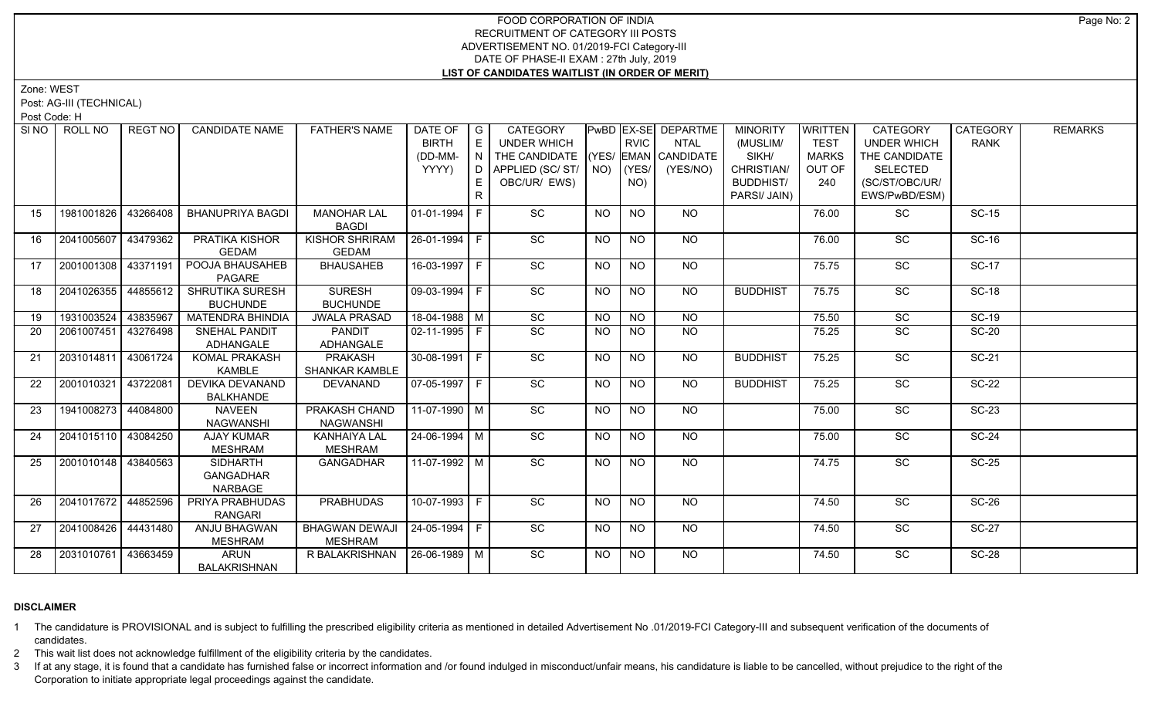Zone: WEST

Post: AG-III (TECHNICAL)

Post Code: H

| SI <sub>NO</sub> | ROLL NO             | REGT NO  | <b>CANDIDATE NAME</b>   | <b>FATHER'S NAME</b>  | DATE OF                | $\overline{\phantom{a}}$ $\overline{\phantom{a}}$ | <b>CATEGORY</b>          |           |                 | PwBD EX-SE DEPARTME  | <b>MINORITY</b>  | WRITTEN      | CATEGORY           | <b>CATEGORY</b> | <b>REMARKS</b> |
|------------------|---------------------|----------|-------------------------|-----------------------|------------------------|---------------------------------------------------|--------------------------|-----------|-----------------|----------------------|------------------|--------------|--------------------|-----------------|----------------|
|                  |                     |          |                         |                       | <b>BIRTH</b>           | E                                                 | <b>UNDER WHICH</b>       |           | <b>RVIC</b>     | <b>NTAL</b>          | (MUSLIM/         | <b>TEST</b>  | <b>UNDER WHICH</b> | <b>RANK</b>     |                |
|                  |                     |          |                         |                       | (DD-MM-                | $\overline{N}$                                    | THE CANDIDATE            |           |                 | (YES/ EMAN CANDIDATE | SIKH/            | <b>MARKS</b> | THE CANDIDATE      |                 |                |
|                  |                     |          |                         |                       | YYYY)                  |                                                   | D APPLIED (SC/ ST/   NO) |           | KYES/           | (YES/NO)             | CHRISTIAN/       | OUT OF       | SELECTED           |                 |                |
|                  |                     |          |                         |                       |                        | E.                                                | OBC/UR/ EWS)             |           | NO)             |                      | <b>BUDDHIST/</b> | 240          | (SC/ST/OBC/UR/     |                 |                |
|                  |                     |          |                         |                       |                        |                                                   |                          |           |                 |                      | PARSI/ JAIN)     |              | EWS/PwBD/ESM)      |                 |                |
| 15               | 1981001826          | 43266408 | <b>BHANUPRIYA BAGDI</b> | <b>MANOHAR LAL</b>    | 01-01-1994 F           |                                                   | SC                       | <b>NO</b> | <b>NO</b>       | NO                   |                  | 76.00        | <b>SC</b>          | <b>SC-15</b>    |                |
|                  |                     |          |                         | <b>BAGDI</b>          |                        |                                                   |                          |           |                 |                      |                  |              |                    |                 |                |
| 16               | 2041005607          | 43479362 | PRATIKA KISHOR          | KISHOR SHRIRAM        | 26-01-1994 F           |                                                   | SC                       | <b>NO</b> | <b>NO</b>       | NO                   |                  | 76.00        | SC                 | <b>SC-16</b>    |                |
|                  |                     |          | <b>GEDAM</b>            | <b>GEDAM</b>          |                        |                                                   |                          |           |                 |                      |                  |              |                    |                 |                |
| 17               | 2001001308          | 43371191 | POOJA BHAUSAHEB         | <b>BHAUSAHEB</b>      | 16-03-1997 F           |                                                   | SC                       | <b>NO</b> | $\overline{NQ}$ | $N$ <sup>O</sup>     |                  | 75.75        | $\overline{SC}$    | SC-17           |                |
|                  |                     |          | PAGARE                  |                       |                        |                                                   |                          |           |                 |                      |                  |              |                    |                 |                |
| 18               | 2041026355          | 44855612 | <b>SHRUTIKA SURESH</b>  | <b>SURESH</b>         | $\boxed{09-03-1994}$ F |                                                   | $\overline{SC}$          | <b>NO</b> | <b>NO</b>       | NO                   | <b>BUDDHIST</b>  | 75.75        | SC                 | $SC-18$         |                |
|                  |                     |          | <b>BUCHUNDE</b>         | <b>BUCHUNDE</b>       |                        |                                                   |                          |           |                 |                      |                  |              |                    |                 |                |
| 19               | 1931003524          | 43835967 | <b>MATENDRA BHINDIA</b> | <b>JWALA PRASAD</b>   | 18-04-1988 M           |                                                   | $\overline{SC}$          | <b>NO</b> | $N$ O           | <b>NO</b>            |                  | 75.50        | $\overline{SC}$    | $SC-19$         |                |
| 20               | 2061007451          | 43276498 | SNEHAL PANDIT           | PANDIT                | $02 - 11 - 1995$ F     |                                                   | $\overline{SC}$          | <b>NO</b> | NO              | $N$ <sup>O</sup>     |                  | 75.25        | $\overline{SC}$    | $SC-20$         |                |
|                  |                     |          | ADHANGALE               | ADHANGALE             |                        |                                                   |                          |           |                 |                      |                  |              |                    |                 |                |
| 21               | 2031014811          | 43061724 | KOMAL PRAKASH           | <b>PRAKASH</b>        | $30-08-1991$ F         |                                                   | SC                       | <b>NO</b> | $N$ O           | NO                   | <b>BUDDHIST</b>  | 75.25        | SC                 | <b>SC-21</b>    |                |
|                  |                     |          | KAMBLE                  | SHANKAR KAMBLE        |                        |                                                   |                          |           |                 |                      |                  |              |                    |                 |                |
| 22               | 2001010321          | 43722081 | DEVIKA DEVANAND         | DEVANAND              | 07-05-1997 F           |                                                   | $\overline{SC}$          | <b>NO</b> | $\overline{NQ}$ | NO                   | <b>BUDDHIST</b>  | 75.25        | SC                 | <b>SC-22</b>    |                |
|                  |                     |          | <b>BALKHANDE</b>        |                       |                        |                                                   |                          |           |                 |                      |                  |              |                    |                 |                |
| 23               | 1941008273          | 44084800 | <b>NAVEEN</b>           | PRAKASH CHAND         | 11-07-1990 M           |                                                   | $\overline{SC}$          | <b>NO</b> | <b>NO</b>       | NO.                  |                  | 75.00        | SC                 | <b>SC-23</b>    |                |
|                  |                     |          | <b>NAGWANSHI</b>        | <b>NAGWANSHI</b>      |                        |                                                   |                          |           |                 |                      |                  |              |                    |                 |                |
| 24               | 2041015110 43084250 |          | AJAY KUMAR              | KANHAIYA LAL          | $24 - 06 - 1994$ M     |                                                   | $\overline{SC}$          | <b>NO</b> | <b>NO</b>       | <b>NO</b>            |                  | 75.00        | SC                 | $SC-24$         |                |
|                  |                     |          | <b>MESHRAM</b>          | <b>MESHRAM</b>        |                        |                                                   |                          |           |                 |                      |                  |              |                    |                 |                |
| 25               | 2001010148 43840563 |          | <b>SIDHARTH</b>         | <b>GANGADHAR</b>      | 11-07-1992   M         |                                                   | $\overline{SC}$          | <b>NO</b> | <b>NO</b>       | NO                   |                  | 74.75        | <b>SC</b>          | <b>SC-25</b>    |                |
|                  |                     |          | <b>GANGADHAR</b>        |                       |                        |                                                   |                          |           |                 |                      |                  |              |                    |                 |                |
|                  |                     |          | NARBAGE                 |                       |                        |                                                   |                          |           |                 |                      |                  |              |                    |                 |                |
| 26               | 2041017672 44852596 |          | PRIYA PRABHUDAS         | <b>PRABHUDAS</b>      | $10-07-1993$ F         |                                                   | $\overline{SC}$          | <b>NO</b> | $\overline{NO}$ | $N$ <sup>O</sup>     |                  | 74.50        | $\overline{SC}$    | $SC-26$         |                |
|                  |                     |          | <b>RANGARI</b>          |                       |                        |                                                   |                          |           |                 |                      |                  |              |                    |                 |                |
| 27               | 2041008426          | 44431480 | ANJU BHAGWAN            | <b>BHAGWAN DEWAJI</b> | 24-05-1994 F           |                                                   | $\overline{SC}$          | <b>NO</b> | NO              | NO                   |                  | 74.50        | $\overline{SC}$    | <b>SC-27</b>    |                |
|                  |                     |          | <b>MESHRAM</b>          | <b>MESHRAM</b>        |                        |                                                   |                          |           |                 |                      |                  |              |                    |                 |                |
| 28               | 2031010761          | 43663459 | <b>ARUN</b>             | R BALAKRISHNAN        | 26-06-1989 M           |                                                   | SC                       | <b>NO</b> | NO.             | NO                   |                  | 74.50        | SC                 | <b>SC-28</b>    |                |
|                  |                     |          | <b>BALAKRISHNAN</b>     |                       |                        |                                                   |                          |           |                 |                      |                  |              |                    |                 |                |

# **DISCLAIMER**

1 The candidature is PROVISIONAL and is subject to fulfilling the prescribed eligibility criteria as mentioned in detailed Advertisement No .01/2019-FCI Category-III and subsequent verification of the documents of candidates.

2 This wait list does not acknowledge fulfillment of the eligibility criteria by the candidates.

3 If at any stage, it is found that a candidate has furnished false or incorrect information and /or found indulged in misconduct/unfair means, his candidature is liable to be cancelled, without prejudice to the right of t Corporation to initiate appropriate legal proceedings against the candidate.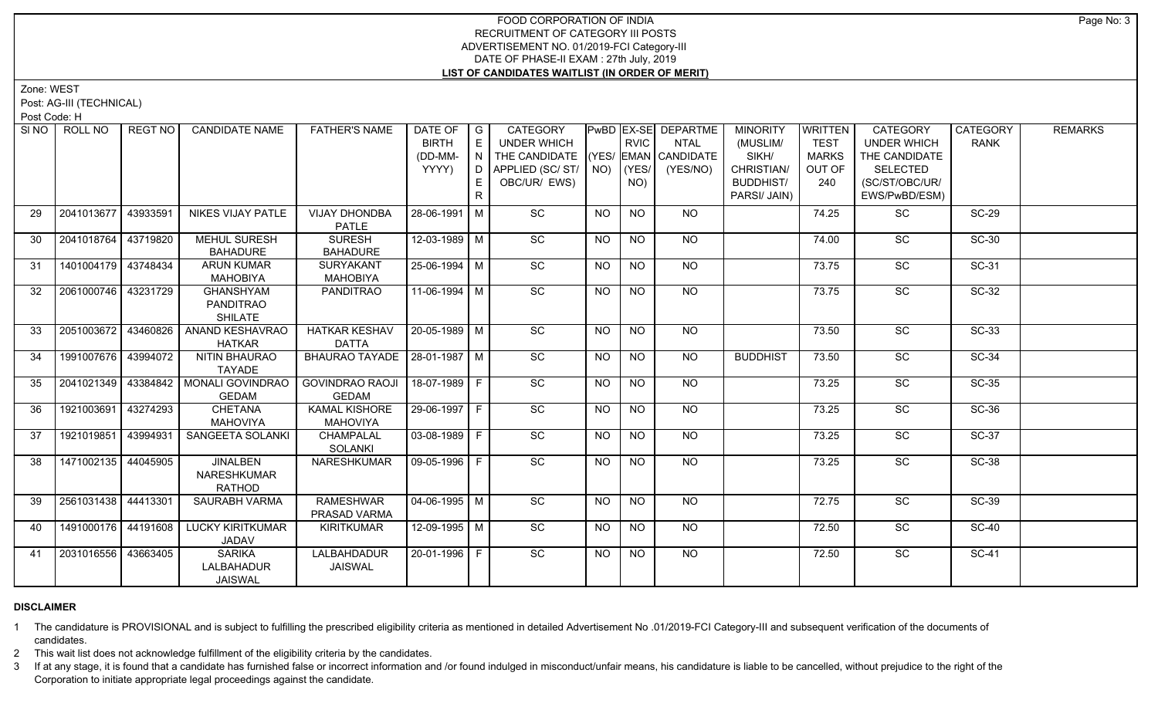Zone: WEST

Post: AG-III (TECHNICAL)

Post Code: H

| SINO | ROLL NO             | <b>REGT NO</b> | <b>CANDIDATE NAME</b>                           | <b>FATHER'S NAME</b>                    | DATE OF $ G $<br><b>BIRTH</b> | E       | <b>CATEGORY</b><br>UNDER WHICH                                               |                | <b>RVIC</b>      | PwBD EX-SE DEPARTME<br><b>NTAL</b> | <b>MINORITY</b><br>(MUSLIM/             | WRITTEN<br><b>TEST</b>        | <b>CATEGORY</b><br><b>UNDER WHICH</b>              | <b>CATEGORY</b><br><b>RANK</b> | <b>REMARKS</b> |
|------|---------------------|----------------|-------------------------------------------------|-----------------------------------------|-------------------------------|---------|------------------------------------------------------------------------------|----------------|------------------|------------------------------------|-----------------------------------------|-------------------------------|----------------------------------------------------|--------------------------------|----------------|
|      |                     |                |                                                 |                                         | (DD-MM-<br>YYYY)              | N<br>E. | THE CANDIDATE (YES/ EMAN CANDIDATE<br>D APPLIED (SC/ ST/ NO)<br>OBC/UR/ EWS) |                | $ $ (YES/<br>NO) | (YES/NO)                           | SIKH/<br>CHRISTIAN/<br><b>BUDDHIST/</b> | <b>MARKS</b><br>OUT OF<br>240 | THE CANDIDATE<br><b>SELECTED</b><br>(SC/ST/OBC/UR/ |                                |                |
|      |                     |                |                                                 |                                         |                               | R.      |                                                                              |                |                  |                                    | PARSI/ JAIN)                            |                               | EWS/PwBD/ESM)                                      |                                |                |
| 29   | 2041013677 43933591 |                | NIKES VIJAY PATLE                               | <b>VIJAY DHONDBA</b><br><b>PATLE</b>    | 28-06-1991   M                |         | <b>SC</b>                                                                    | NO.            | <b>NO</b>        | NO.                                |                                         | 74.25                         | SC                                                 | <b>SC-29</b>                   |                |
| 30   | 2041018764 43719820 |                | <b>MEHUL SURESH</b><br><b>BAHADURE</b>          | <b>SURESH</b><br><b>BAHADURE</b>        | 12-03-1989 M                  |         | SC                                                                           | <b>NO</b>      | <b>NO</b>        | NO                                 |                                         | 74.00                         | <b>SC</b>                                          | SC-30                          |                |
| 31   | 1401004179 43748434 |                | <b>ARUN KUMAR</b><br><b>MAHOBIYA</b>            | SURYAKANT<br><b>MAHOBIYA</b>            | 25-06-1994 M                  |         | SC                                                                           | <b>NO</b>      | $\overline{NO}$  | $\overline{NO}$                    |                                         | 73.75                         | $\overline{SC}$                                    | $SC-31$                        |                |
| 32   | 2061000746 43231729 |                | <b>GHANSHYAM</b><br>PANDITRAO<br><b>SHILATE</b> | <b>PANDITRAO</b>                        | 11-06-1994   M                |         | $\overline{SC}$                                                              | <b>NO</b>      | <b>NO</b>        | NO                                 |                                         | 73.75                         | $\overline{SC}$                                    | $SC-32$                        |                |
| 33   | 2051003672 43460826 |                | <b>ANAND KESHAVRAO</b><br><b>HATKAR</b>         | <b>HATKAR KESHAV</b><br><b>DATTA</b>    | $ 20 - 05 - 1989 $ M          |         | SC                                                                           | NO             | NO               | NO                                 |                                         | 73.50                         | $\overline{SC}$                                    | $SC-33$                        |                |
| 34   | 1991007676 43994072 |                | <b>NITIN BHAURAO</b><br>TAYADE                  | BHAURAO TAYADE   28-01-1987   M         |                               |         | $\overline{SC}$                                                              | NO             | NO               | NO                                 | <b>BUDDHIST</b>                         | 73.50                         | $\overline{SC}$                                    | $SC-34$                        |                |
| 35   | 2041021349 43384842 |                | MONALI GOVINDRAO<br><b>GEDAM</b>                | <b>GOVINDRAO RAOJI</b><br><b>GEDAM</b>  | $18-07-1989$ F                |         | SC                                                                           | <b>NO</b>      | <b>NO</b>        | <b>NO</b>                          |                                         | 73.25                         | $\overline{SC}$                                    | $SC-35$                        |                |
| 36   | 1921003691 43274293 |                | <b>CHETANA</b><br><b>MAHOVIYA</b>               | <b>KAMAL KISHORE</b><br><b>MAHOVIYA</b> | 29-06-1997 F                  |         | SC                                                                           | NO             | <b>NO</b>        | NO                                 |                                         | 73.25                         | SC                                                 | SC-36                          |                |
| 37   | 1921019851 43994931 |                | SANGEETA SOLANKI                                | CHAMPALAL<br><b>SOLANKI</b>             | 03-08-1989 F                  |         | SC                                                                           | NO.            | NO.              | NO                                 |                                         | 73.25                         | SC                                                 | SC-37                          |                |
| 38   | 1471002135 44045905 |                | <b>JINALBEN</b><br>NARESHKUMAR<br><b>RATHOD</b> | NARESHKUMAR                             | 09-05-1996 F                  |         | $\overline{SC}$                                                              | N <sub>O</sub> | $\overline{NQ}$  | $N$ <sup>O</sup>                   |                                         | 73.25                         | $\overline{SC}$                                    | $SC-38$                        |                |
| 39   | 2561031438 44413301 |                | SAURABH VARMA                                   | <b>RAMESHWAR</b><br>PRASAD VARMA        | 04-06-1995 M                  |         | SC                                                                           | <b>NO</b>      | <b>NO</b>        | NO                                 |                                         | 72.75                         | SC                                                 | <b>SC-39</b>                   |                |
| 40   | 1491000176 44191608 |                | <b>LUCKY KIRITKUMAR</b><br>JADAV                | <b>KIRITKUMAR</b>                       | $12 - 09 - 1995$ M            |         | SC                                                                           | <b>NO</b>      | <b>NO</b>        | NO                                 |                                         | 72.50                         | $\overline{SC}$                                    | $SC-40$                        |                |
| 41   | 2031016556 33663405 |                | <b>SARIKA</b><br>LALBAHADUR<br><b>JAISWAL</b>   | LALBAHDADUR<br><b>JAISWAL</b>           | 20-01-1996   F                |         | $\overline{SC}$                                                              | NO.            | NO.              | NO                                 |                                         | 72.50                         | <b>SC</b>                                          | <b>SC-41</b>                   |                |

# **DISCLAIMER**

1 The candidature is PROVISIONAL and is subject to fulfilling the prescribed eligibility criteria as mentioned in detailed Advertisement No .01/2019-FCI Category-III and subsequent verification of the documents of candidates.

2 This wait list does not acknowledge fulfillment of the eligibility criteria by the candidates.

3 If at any stage, it is found that a candidate has furnished false or incorrect information and /or found indulged in misconduct/unfair means, his candidature is liable to be cancelled, without prejudice to the right of t Corporation to initiate appropriate legal proceedings against the candidate.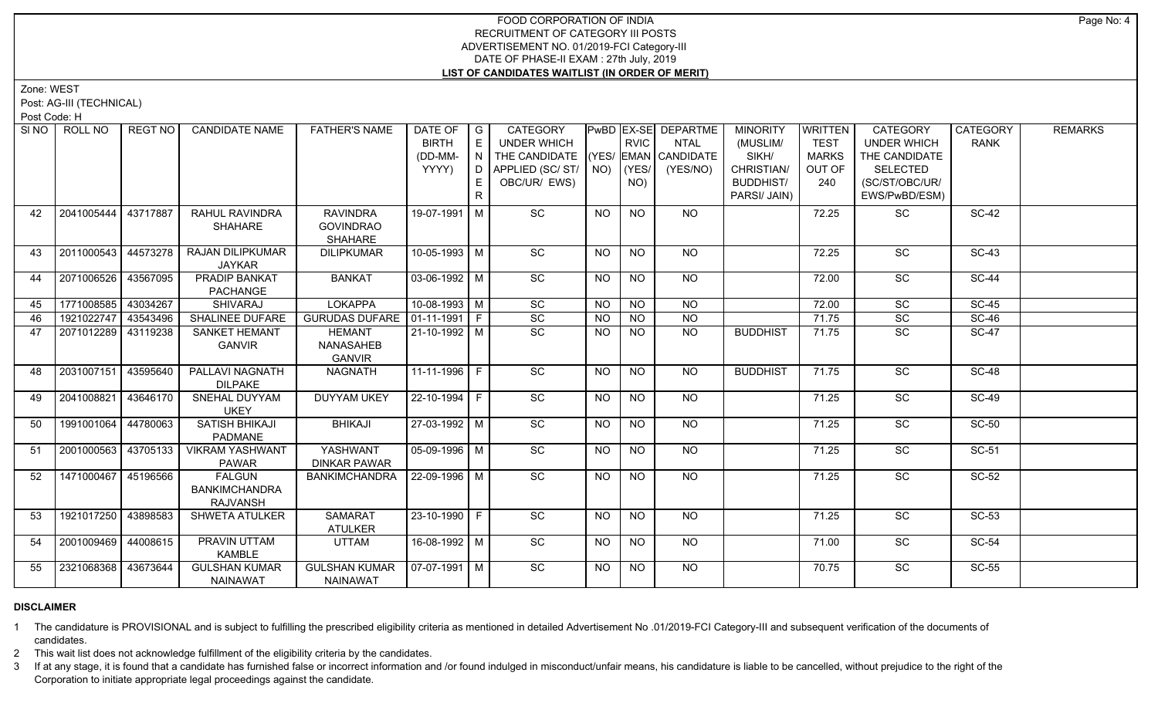Zone: WEST

Post: AG-III (TECHNICAL)

Post Code: H

| SI NO | ROLL NO             | REGT NO  | <b>CANDIDATE NAME</b>                                    | <b>FATHER'S NAME</b>                                  | DATE OF $ G $<br><b>BIRTH</b> | E  | <b>CATEGORY</b><br><b>UNDER WHICH</b>                                       |           | <b>RVIC</b>    | PwBD EX-SE DEPARTME<br><b>NTAL</b> | <b>MINORITY</b><br>(MUSLIM/             | WRITTEN<br><b>TEST</b>        | CATEGORY<br><b>UNDER WHICH</b>                     | CATEGORY<br><b>RANK</b> | <b>REMARKS</b> |
|-------|---------------------|----------|----------------------------------------------------------|-------------------------------------------------------|-------------------------------|----|-----------------------------------------------------------------------------|-----------|----------------|------------------------------------|-----------------------------------------|-------------------------------|----------------------------------------------------|-------------------------|----------------|
|       |                     |          |                                                          |                                                       | (DD-MM-<br>YYYY)              | N  | THE CANDIDATE (YES/ EMAN CANDIDATE<br>D APPLIED (SC/ST/ NO)<br>OBC/UR/ EWS) |           | (YES/<br>NO)   | (YES/NO)                           | SIKH/<br>CHRISTIAN/<br><b>BUDDHIST/</b> | <b>MARKS</b><br>OUT OF<br>240 | THE CANDIDATE<br><b>SELECTED</b><br>(SC/ST/OBC/UR/ |                         |                |
|       |                     |          |                                                          |                                                       |                               | R. |                                                                             |           |                |                                    | PARSI/ JAIN)                            |                               | EWS/PwBD/ESM)                                      |                         |                |
| 42    | 2041005444          | 43717887 | RAHUL RAVINDRA<br><b>SHAHARE</b>                         | <b>RAVINDRA</b><br><b>GOVINDRAO</b><br><b>SHAHARE</b> | 19-07-1991   M                |    | <b>SC</b>                                                                   | NO.       | NO             | NO.                                |                                         | 72.25                         | <b>SC</b>                                          | <b>SC-42</b>            |                |
| 43    | 2011000543          | 44573278 | <b>RAJAN DILIPKUMAR</b><br><b>JAYKAR</b>                 | <b>DILIPKUMAR</b>                                     | $10-05-1993$ M                |    | $\overline{SC}$                                                             | <b>NO</b> | NO             | <b>NO</b>                          |                                         | 72.25                         | $\overline{SC}$                                    | $SC-43$                 |                |
| 44    | 2071006526          | 43567095 | <b>PRADIP BANKAT</b><br>PACHANGE                         | <b>BANKAT</b>                                         | $03-06-1992$ M                |    | SC                                                                          | NO        | NO             | NO                                 |                                         | 72.00                         | SC                                                 | <b>SC-44</b>            |                |
| 45    | 1771008585 43034267 |          | <b>SHIVARAJ</b>                                          | <b>LOKAPPA</b>                                        | 10-08-1993 M                  |    | SC                                                                          | NO        | <b>NO</b>      | <b>NO</b>                          |                                         | 72.00                         | SC                                                 | <b>SC-45</b>            |                |
| 46    | 1921022747 43543496 |          | SHALINEE DUFARE                                          | GURUDAS DUFARE 01-11-1991   F                         |                               |    | $\overline{SC}$                                                             | NO.       | NO             | <b>NO</b>                          |                                         | 71.75                         | SC                                                 | <b>SC-46</b>            |                |
| 47    | 2071012289 43119238 |          | <b>SANKET HEMANT</b><br><b>GANVIR</b>                    | <b>HEMANT</b><br>NANASAHEB<br><b>GANVIR</b>           | 21-10-1992 M                  |    | SC                                                                          | <b>NO</b> | <b>NO</b>      | <b>NO</b>                          | <b>BUDDHIST</b>                         | 71.75                         | SC                                                 | <b>SC-47</b>            |                |
| 48    | 2031007151 43595640 |          | PALLAVI NAGNATH<br><b>DILPAKE</b>                        | NAGNATH                                               | $11-11-1996$ F                |    | SC                                                                          | <b>NO</b> | <b>NO</b>      | NO.                                | <b>BUDDHIST</b>                         | 71.75                         | SC                                                 | <b>SC-48</b>            |                |
| 49    | 2041008821          | 43646170 | SNEHAL DUYYAM<br><b>UKEY</b>                             | <b>DUYYAM UKEY</b>                                    | 22-10-1994 F                  |    | SC                                                                          | <b>NO</b> | NO             | NO                                 |                                         | 71.25                         | SC                                                 | <b>SC-49</b>            |                |
| 50    | 1991001064 44780063 |          | SATISH BHIKAJI<br>PADMANE                                | <b>BHIKAJI</b>                                        | 27-03-1992   M                |    | SC                                                                          | <b>NO</b> | NO             | NO.                                |                                         | 71.25                         | SC                                                 | <b>SC-50</b>            |                |
| 51    | 2001000563          | 43705133 | <b>VIKRAM YASHWANT</b><br><b>PAWAR</b>                   | YASHWANT<br><b>DINKAR PAWAR</b>                       | 05-09-1996 M                  |    | $\overline{SC}$                                                             | <b>NO</b> | NO             | NO.                                |                                         | 71.25                         | <b>SC</b>                                          | SC-51                   |                |
| 52    | 1471000467 45196566 |          | <b>FALGUN</b><br><b>BANKIMCHANDRA</b><br><b>RAJVANSH</b> | BANKIMCHANDRA                                         | $22-09-1996$ M                |    | $\overline{SC}$                                                             | <b>NO</b> | NO             | NO                                 |                                         | 71.25                         | $\overline{SC}$                                    | $SC-52$                 |                |
| 53    | 1921017250 43898583 |          | <b>SHWETA ATULKER</b>                                    | SAMARAT<br><b>ATULKER</b>                             | $23 - 10 - 1990$ F            |    | $\overline{SC}$                                                             | <b>NO</b> | N <sub>O</sub> | <b>NO</b>                          |                                         | 71.25                         | $\overline{SC}$                                    | $SC-53$                 |                |
| 54    | 2001009469 44008615 |          | <b>PRAVIN UTTAM</b><br>KAMBLE                            | <b>UTTAM</b>                                          | 16-08-1992 M                  |    | $\overline{SC}$                                                             | <b>NO</b> | <b>NO</b>      | NO                                 |                                         | 71.00                         | SC                                                 | $SC-54$                 |                |
| 55    | 2321068368 43673644 |          | <b>GULSHAN KUMAR</b><br>NAINAWAT                         | <b>GULSHAN KUMAR</b><br>NAINAWAT                      | $\sqrt{07-07-1991}$ M         |    | SC                                                                          | NO        | NO.            | NO                                 |                                         | 70.75                         | <b>SC</b>                                          | <b>SC-55</b>            |                |

### **DISCLAIMER**

1 The candidature is PROVISIONAL and is subject to fulfilling the prescribed eligibility criteria as mentioned in detailed Advertisement No .01/2019-FCI Category-III and subsequent verification of the documents of candidates.

2 This wait list does not acknowledge fulfillment of the eligibility criteria by the candidates.

3 If at any stage, it is found that a candidate has furnished false or incorrect information and /or found indulged in misconduct/unfair means, his candidature is liable to be cancelled, without prejudice to the right of t Corporation to initiate appropriate legal proceedings against the candidate.